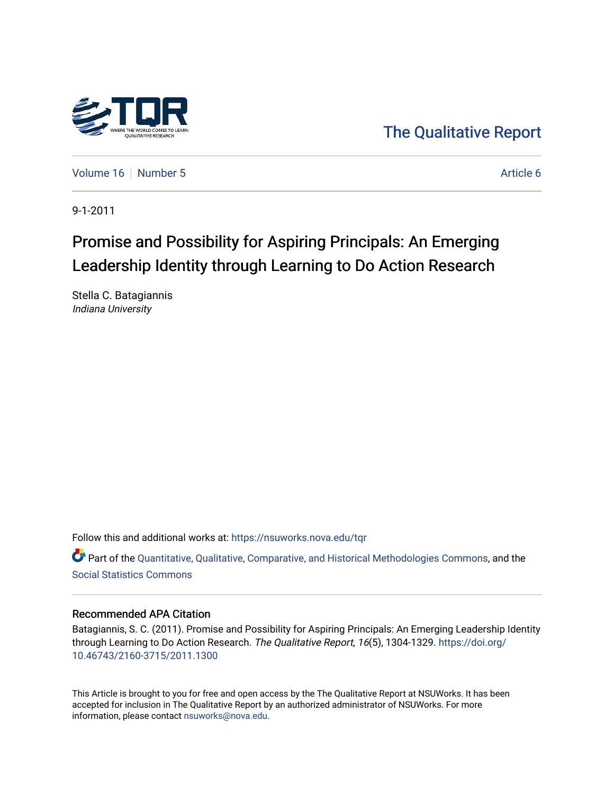

[The Qualitative Report](https://nsuworks.nova.edu/tqr) 

[Volume 16](https://nsuworks.nova.edu/tqr/vol16) [Number 5](https://nsuworks.nova.edu/tqr/vol16/iss5) Article 6

9-1-2011

# Promise and Possibility for Aspiring Principals: An Emerging Leadership Identity through Learning to Do Action Research

Stella C. Batagiannis Indiana University

Follow this and additional works at: [https://nsuworks.nova.edu/tqr](https://nsuworks.nova.edu/tqr?utm_source=nsuworks.nova.edu%2Ftqr%2Fvol16%2Fiss5%2F6&utm_medium=PDF&utm_campaign=PDFCoverPages) 

Part of the [Quantitative, Qualitative, Comparative, and Historical Methodologies Commons,](http://network.bepress.com/hgg/discipline/423?utm_source=nsuworks.nova.edu%2Ftqr%2Fvol16%2Fiss5%2F6&utm_medium=PDF&utm_campaign=PDFCoverPages) and the [Social Statistics Commons](http://network.bepress.com/hgg/discipline/1275?utm_source=nsuworks.nova.edu%2Ftqr%2Fvol16%2Fiss5%2F6&utm_medium=PDF&utm_campaign=PDFCoverPages) 

#### Recommended APA Citation

Batagiannis, S. C. (2011). Promise and Possibility for Aspiring Principals: An Emerging Leadership Identity through Learning to Do Action Research. The Qualitative Report, 16(5), 1304-1329. [https://doi.org/](https://doi.org/10.46743/2160-3715/2011.1300) [10.46743/2160-3715/2011.1300](https://doi.org/10.46743/2160-3715/2011.1300)

This Article is brought to you for free and open access by the The Qualitative Report at NSUWorks. It has been accepted for inclusion in The Qualitative Report by an authorized administrator of NSUWorks. For more information, please contact [nsuworks@nova.edu.](mailto:nsuworks@nova.edu)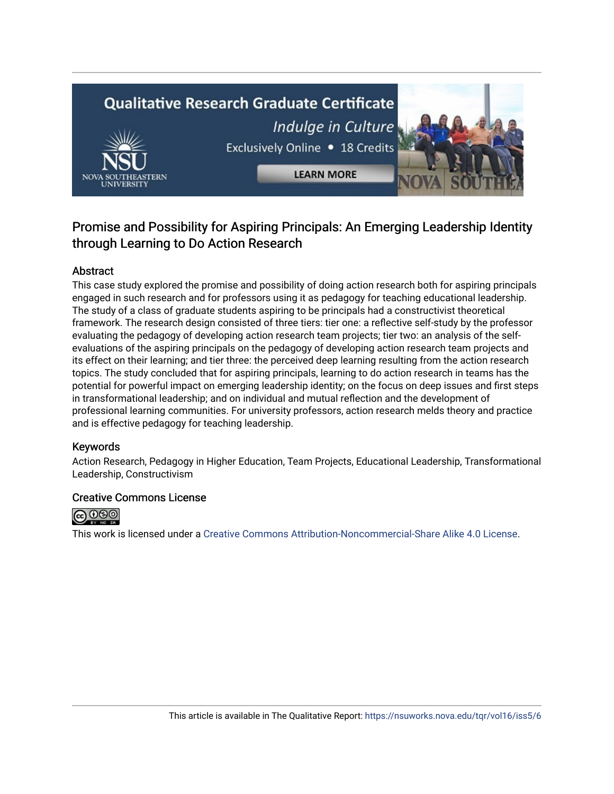# **Qualitative Research Graduate Certificate** Indulge in Culture Exclusively Online . 18 Credits



## Promise and Possibility for Aspiring Principals: An Emerging Leadership Identity through Learning to Do Action Research

**LEARN MORE** 

## Abstract

This case study explored the promise and possibility of doing action research both for aspiring principals engaged in such research and for professors using it as pedagogy for teaching educational leadership. The study of a class of graduate students aspiring to be principals had a constructivist theoretical framework. The research design consisted of three tiers: tier one: a reflective self-study by the professor evaluating the pedagogy of developing action research team projects; tier two: an analysis of the selfevaluations of the aspiring principals on the pedagogy of developing action research team projects and its effect on their learning; and tier three: the perceived deep learning resulting from the action research topics. The study concluded that for aspiring principals, learning to do action research in teams has the potential for powerful impact on emerging leadership identity; on the focus on deep issues and first steps in transformational leadership; and on individual and mutual reflection and the development of professional learning communities. For university professors, action research melds theory and practice and is effective pedagogy for teaching leadership.

## Keywords

Action Research, Pedagogy in Higher Education, Team Projects, Educational Leadership, Transformational Leadership, Constructivism

## Creative Commons License



This work is licensed under a [Creative Commons Attribution-Noncommercial-Share Alike 4.0 License](https://creativecommons.org/licenses/by-nc-sa/4.0/).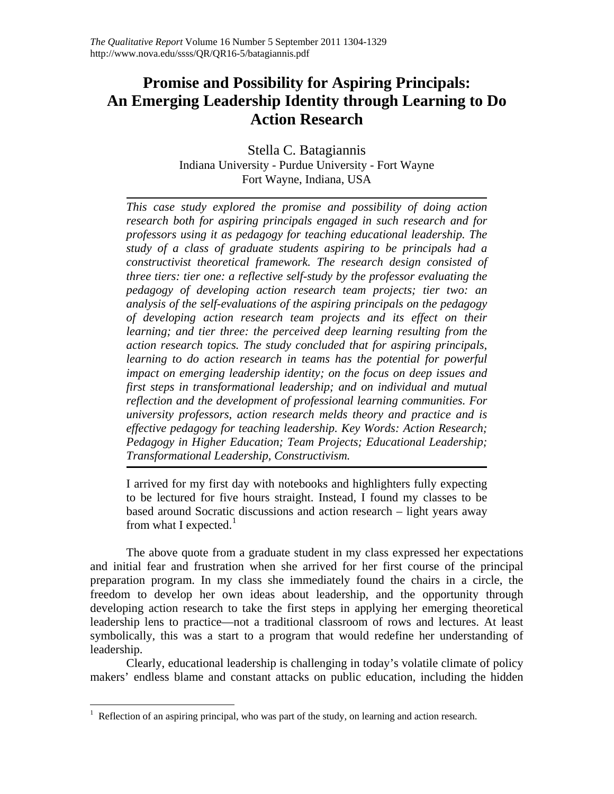## **Promise and Possibility for Aspiring Principals: An Emerging Leadership Identity through Learning to Do Action Research**

Stella C. Batagiannis Indiana University - Purdue University - Fort Wayne Fort Wayne, Indiana, USA

*This case study explored the promise and possibility of doing action research both for aspiring principals engaged in such research and for professors using it as pedagogy for teaching educational leadership. The study of a class of graduate students aspiring to be principals had a constructivist theoretical framework. The research design consisted of three tiers: tier one: a reflective self-study by the professor evaluating the pedagogy of developing action research team projects; tier two: an analysis of the self-evaluations of the aspiring principals on the pedagogy of developing action research team projects and its effect on their learning; and tier three: the perceived deep learning resulting from the action research topics. The study concluded that for aspiring principals, learning to do action research in teams has the potential for powerful impact on emerging leadership identity; on the focus on deep issues and first steps in transformational leadership; and on individual and mutual reflection and the development of professional learning communities. For university professors, action research melds theory and practice and is effective pedagogy for teaching leadership. Key Words: Action Research; Pedagogy in Higher Education; Team Projects; Educational Leadership; Transformational Leadership, Constructivism.* 

I arrived for my first day with notebooks and highlighters fully expecting to be lectured for five hours straight. Instead, I found my classes to be based around Socratic discussions and action research – light years away from what I expected. $^1$  $^1$ 

The above quote from a graduate student in my class expressed her expectations and initial fear and frustration when she arrived for her first course of the principal preparation program. In my class she immediately found the chairs in a circle, the freedom to develop her own ideas about leadership, and the opportunity through developing action research to take the first steps in applying her emerging theoretical leadership lens to practice—not a traditional classroom of rows and lectures. At least symbolically, this was a start to a program that would redefine her understanding of leadership.

Clearly, educational leadership is challenging in today's volatile climate of policy makers' endless blame and constant attacks on public education, including the hidden

 $\overline{a}$ 

<span id="page-2-0"></span><sup>&</sup>lt;sup>1</sup> Reflection of an aspiring principal, who was part of the study, on learning and action research.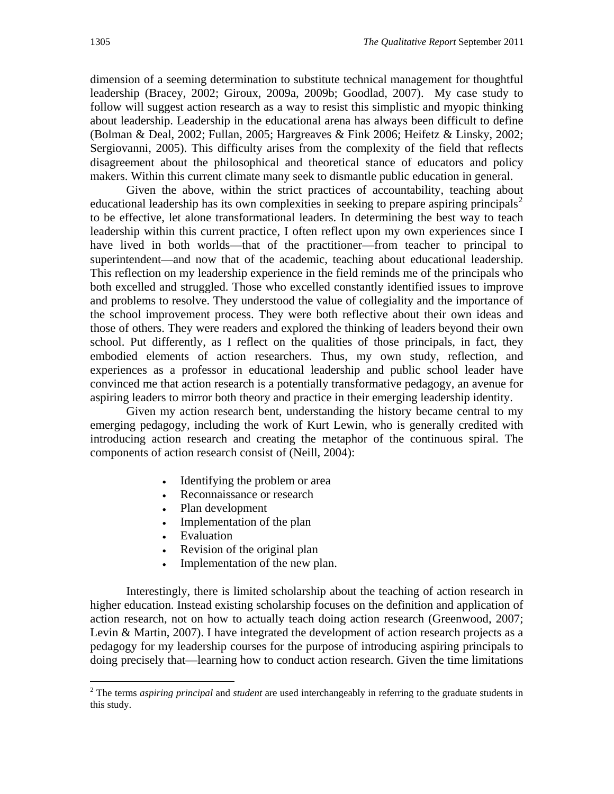dimension of a seeming determination to substitute technical management for thoughtful leadership (Bracey, 2002; Giroux, 2009a, 2009b; Goodlad, 2007). My case study to follow will suggest action research as a way to resist this simplistic and myopic thinking about leadership. Leadership in the educational arena has always been difficult to define (Bolman & Deal, 2002; Fullan, 2005; Hargreaves & Fink 2006; Heifetz & Linsky, 2002; Sergiovanni, 2005). This difficulty arises from the complexity of the field that reflects disagreement about the philosophical and theoretical stance of educators and policy makers. Within this current climate many seek to dismantle public education in general.

Given the above, within the strict practices of accountability, teaching about educational leadership has its own complexities in seeking to prepare aspiring principals<sup>[2](#page-3-0)</sup> to be effective, let alone transformational leaders. In determining the best way to teach leadership within this current practice, I often reflect upon my own experiences since I have lived in both worlds—that of the practitioner—from teacher to principal to superintendent—and now that of the academic, teaching about educational leadership. This reflection on my leadership experience in the field reminds me of the principals who both excelled and struggled. Those who excelled constantly identified issues to improve and problems to resolve. They understood the value of collegiality and the importance of the school improvement process. They were both reflective about their own ideas and those of others. They were readers and explored the thinking of leaders beyond their own school. Put differently, as I reflect on the qualities of those principals, in fact, they embodied elements of action researchers. Thus, my own study, reflection, and experiences as a professor in educational leadership and public school leader have convinced me that action research is a potentially transformative pedagogy, an avenue for aspiring leaders to mirror both theory and practice in their emerging leadership identity.

Given my action research bent, understanding the history became central to my emerging pedagogy, including the work of Kurt Lewin, who is generally credited with introducing action research and creating the metaphor of the continuous spiral. The components of action research consist of (Neill, 2004):

- Identifying the problem or area
- Reconnaissance or research
- Plan development
- Implementation of the plan
- Evaluation

1

- Revision of the original plan
- Implementation of the new plan.

Interestingly, there is limited scholarship about the teaching of action research in higher education. Instead existing scholarship focuses on the definition and application of action research, not on how to actually teach doing action research (Greenwood, 2007; Levin & Martin, 2007). I have integrated the development of action research projects as a pedagogy for my leadership courses for the purpose of introducing aspiring principals to doing precisely that—learning how to conduct action research. Given the time limitations

<span id="page-3-0"></span><sup>2</sup> The terms *aspiring principal* and *student* are used interchangeably in referring to the graduate students in this study.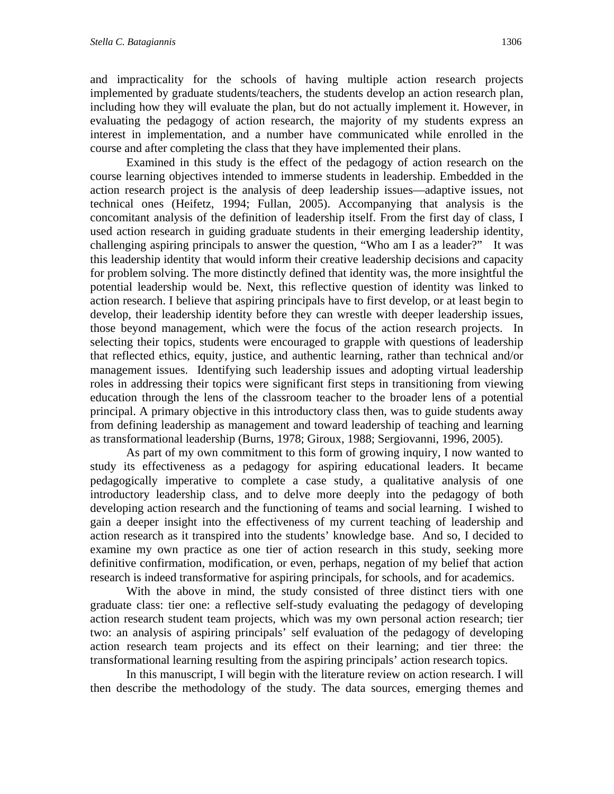and impracticality for the schools of having multiple action research projects implemented by graduate students/teachers, the students develop an action research plan, including how they will evaluate the plan, but do not actually implement it. However, in evaluating the pedagogy of action research, the majority of my students express an interest in implementation, and a number have communicated while enrolled in the course and after completing the class that they have implemented their plans.

Examined in this study is the effect of the pedagogy of action research on the course learning objectives intended to immerse students in leadership. Embedded in the action research project is the analysis of deep leadership issues—adaptive issues, not technical ones (Heifetz, 1994; Fullan, 2005). Accompanying that analysis is the concomitant analysis of the definition of leadership itself. From the first day of class, I used action research in guiding graduate students in their emerging leadership identity, challenging aspiring principals to answer the question, "Who am I as a leader?" It was this leadership identity that would inform their creative leadership decisions and capacity for problem solving. The more distinctly defined that identity was, the more insightful the potential leadership would be. Next, this reflective question of identity was linked to action research. I believe that aspiring principals have to first develop, or at least begin to develop, their leadership identity before they can wrestle with deeper leadership issues, those beyond management, which were the focus of the action research projects. In selecting their topics, students were encouraged to grapple with questions of leadership that reflected ethics, equity, justice, and authentic learning, rather than technical and/or management issues. Identifying such leadership issues and adopting virtual leadership roles in addressing their topics were significant first steps in transitioning from viewing education through the lens of the classroom teacher to the broader lens of a potential principal. A primary objective in this introductory class then, was to guide students away from defining leadership as management and toward leadership of teaching and learning as transformational leadership (Burns, 1978; Giroux, 1988; Sergiovanni, 1996, 2005).

As part of my own commitment to this form of growing inquiry, I now wanted to study its effectiveness as a pedagogy for aspiring educational leaders. It became pedagogically imperative to complete a case study, a qualitative analysis of one introductory leadership class, and to delve more deeply into the pedagogy of both developing action research and the functioning of teams and social learning. I wished to gain a deeper insight into the effectiveness of my current teaching of leadership and action research as it transpired into the students' knowledge base. And so, I decided to examine my own practice as one tier of action research in this study, seeking more definitive confirmation, modification, or even, perhaps, negation of my belief that action research is indeed transformative for aspiring principals, for schools, and for academics.

With the above in mind, the study consisted of three distinct tiers with one graduate class: tier one: a reflective self-study evaluating the pedagogy of developing action research student team projects, which was my own personal action research; tier two: an analysis of aspiring principals' self evaluation of the pedagogy of developing action research team projects and its effect on their learning; and tier three: the transformational learning resulting from the aspiring principals' action research topics.

In this manuscript, I will begin with the literature review on action research. I will then describe the methodology of the study. The data sources, emerging themes and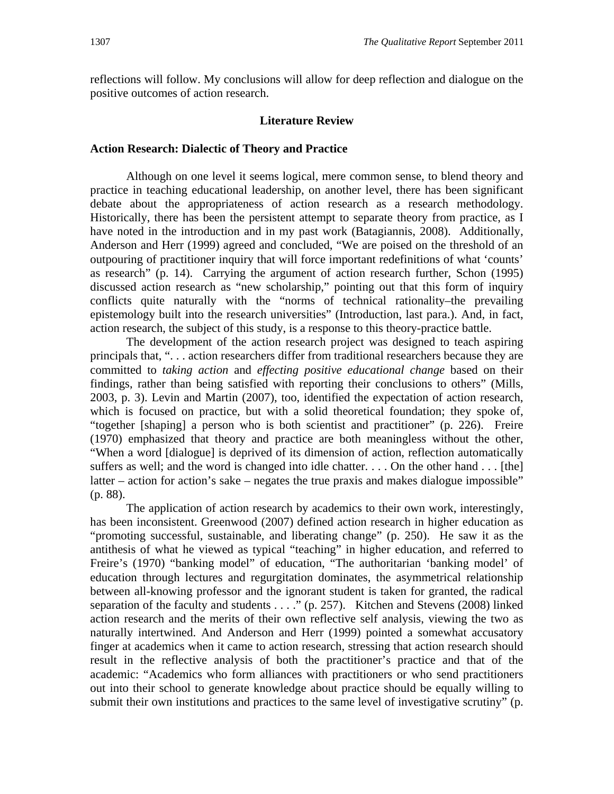reflections will follow. My conclusions will allow for deep reflection and dialogue on the positive outcomes of action research.

#### **Literature Review**

#### **Action Research: Dialectic of Theory and Practice**

Although on one level it seems logical, mere common sense, to blend theory and practice in teaching educational leadership, on another level, there has been significant debate about the appropriateness of action research as a research methodology. Historically, there has been the persistent attempt to separate theory from practice, as I have noted in the introduction and in my past work (Batagiannis, 2008). Additionally, Anderson and Herr (1999) agreed and concluded, "We are poised on the threshold of an outpouring of practitioner inquiry that will force important redefinitions of what 'counts' as research" (p. 14). Carrying the argument of action research further, Schon (1995) discussed action research as "new scholarship," pointing out that this form of inquiry conflicts quite naturally with the "norms of technical rationality–the prevailing epistemology built into the research universities" (Introduction, last para.). And, in fact, action research, the subject of this study, is a response to this theory-practice battle.

The development of the action research project was designed to teach aspiring principals that, ". . . action researchers differ from traditional researchers because they are committed to *taking action* and *effecting positive educational change* based on their findings, rather than being satisfied with reporting their conclusions to others" (Mills, 2003, p. 3). Levin and Martin (2007), too, identified the expectation of action research, which is focused on practice, but with a solid theoretical foundation; they spoke of, "together [shaping] a person who is both scientist and practitioner" (p. 226). Freire (1970) emphasized that theory and practice are both meaningless without the other, "When a word [dialogue] is deprived of its dimension of action, reflection automatically suffers as well; and the word is changed into idle chatter. . . . On the other hand . . . [the] latter – action for action's sake – negates the true praxis and makes dialogue impossible" (p. 88).

The application of action research by academics to their own work, interestingly, has been inconsistent. Greenwood (2007) defined action research in higher education as "promoting successful, sustainable, and liberating change" (p. 250). He saw it as the antithesis of what he viewed as typical "teaching" in higher education, and referred to Freire's (1970) "banking model" of education, "The authoritarian 'banking model' of education through lectures and regurgitation dominates, the asymmetrical relationship between all-knowing professor and the ignorant student is taken for granted, the radical separation of the faculty and students . . . ." (p. 257). Kitchen and Stevens (2008) linked action research and the merits of their own reflective self analysis, viewing the two as naturally intertwined. And Anderson and Herr (1999) pointed a somewhat accusatory finger at academics when it came to action research, stressing that action research should result in the reflective analysis of both the practitioner's practice and that of the academic: "Academics who form alliances with practitioners or who send practitioners out into their school to generate knowledge about practice should be equally willing to submit their own institutions and practices to the same level of investigative scrutiny" (p.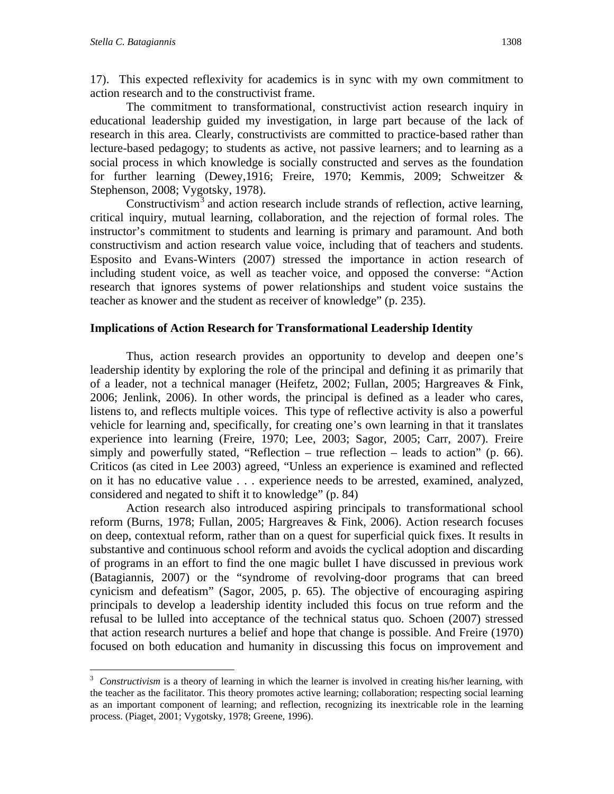$\overline{a}$ 

17). This expected reflexivity for academics is in sync with my own commitment to action research and to the constructivist frame.

The commitment to transformational, constructivist action research inquiry in educational leadership guided my investigation, in large part because of the lack of research in this area. Clearly, constructivists are committed to practice-based rather than lecture-based pedagogy; to students as active, not passive learners; and to learning as a social process in which knowledge is socially constructed and serves as the foundation for further learning (Dewey,1916; Freire, 1970; Kemmis, 2009; Schweitzer & Stephenson, 2008; Vygotsky, 1978).

Constructivism<sup>[3](#page-6-0)</sup> and action research include strands of reflection, active learning, critical inquiry, mutual learning, collaboration, and the rejection of formal roles. The instructor's commitment to students and learning is primary and paramount. And both constructivism and action research value voice, including that of teachers and students. Esposito and Evans-Winters (2007) stressed the importance in action research of including student voice, as well as teacher voice, and opposed the converse: "Action research that ignores systems of power relationships and student voice sustains the teacher as knower and the student as receiver of knowledge" (p. 235).

## **Implications of Action Research for Transformational Leadership Identity**

Thus, action research provides an opportunity to develop and deepen one's leadership identity by exploring the role of the principal and defining it as primarily that of a leader, not a technical manager (Heifetz, 2002; Fullan, 2005; Hargreaves & Fink, 2006; Jenlink, 2006). In other words, the principal is defined as a leader who cares, listens to, and reflects multiple voices. This type of reflective activity is also a powerful vehicle for learning and, specifically, for creating one's own learning in that it translates experience into learning (Freire, 1970; Lee, 2003; Sagor, 2005; Carr, 2007). Freire simply and powerfully stated, "Reflection – true reflection – leads to action" (p.  $66$ ). Criticos (as cited in Lee 2003) agreed, "Unless an experience is examined and reflected on it has no educative value . . . experience needs to be arrested, examined, analyzed, considered and negated to shift it to knowledge" (p. 84)

Action research also introduced aspiring principals to transformational school reform (Burns, 1978; Fullan, 2005; Hargreaves & Fink, 2006). Action research focuses on deep, contextual reform, rather than on a quest for superficial quick fixes. It results in substantive and continuous school reform and avoids the cyclical adoption and discarding of programs in an effort to find the one magic bullet I have discussed in previous work (Batagiannis, 2007) or the "syndrome of revolving-door programs that can breed cynicism and defeatism" (Sagor, 2005, p. 65). The objective of encouraging aspiring principals to develop a leadership identity included this focus on true reform and the refusal to be lulled into acceptance of the technical status quo. Schoen (2007) stressed that action research nurtures a belief and hope that change is possible. And Freire (1970) focused on both education and humanity in discussing this focus on improvement and

<span id="page-6-0"></span><sup>&</sup>lt;sup>3</sup> Constructivism is a theory of learning in which the learner is involved in creating his/her learning, with the teacher as the facilitator. This theory promotes active learning; collaboration; respecting social learning as an important component of learning; and reflection, recognizing its inextricable role in the learning process. (Piaget, 2001; Vygotsky, 1978; Greene, 1996).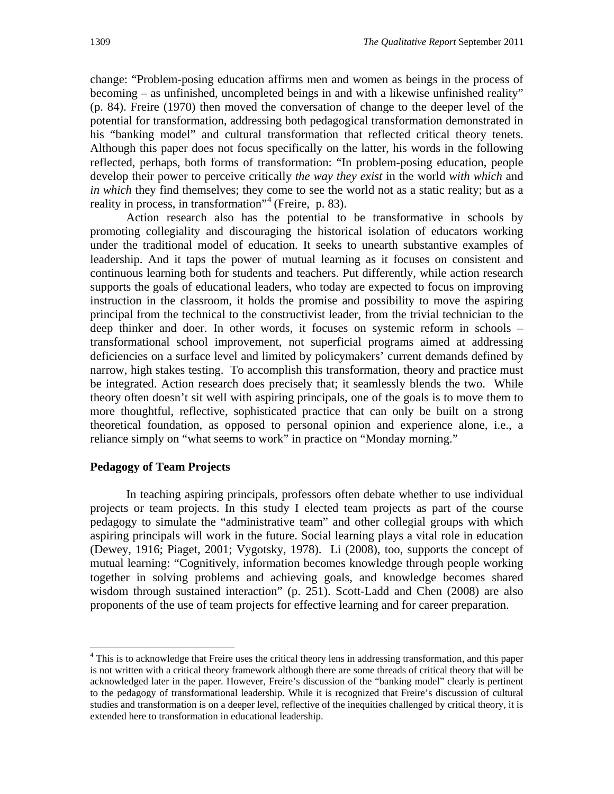change: "Problem-posing education affirms men and women as beings in the process of becoming – as unfinished, uncompleted beings in and with a likewise unfinished reality" (p. 84). Freire (1970) then moved the conversation of change to the deeper level of the potential for transformation, addressing both pedagogical transformation demonstrated in his "banking model" and cultural transformation that reflected critical theory tenets. Although this paper does not focus specifically on the latter, his words in the following reflected, perhaps, both forms of transformation: "In problem-posing education, people develop their power to perceive critically *the way they exist* in the world *with which* and *in which* they find themselves; they come to see the world not as a static reality; but as a reality in process, in transformation"<sup>[4](#page-7-0)</sup> (Freire, p. 83).

Action research also has the potential to be transformative in schools by promoting collegiality and discouraging the historical isolation of educators working under the traditional model of education. It seeks to unearth substantive examples of leadership. And it taps the power of mutual learning as it focuses on consistent and continuous learning both for students and teachers. Put differently, while action research supports the goals of educational leaders, who today are expected to focus on improving instruction in the classroom, it holds the promise and possibility to move the aspiring principal from the technical to the constructivist leader, from the trivial technician to the deep thinker and doer. In other words, it focuses on systemic reform in schools – transformational school improvement, not superficial programs aimed at addressing deficiencies on a surface level and limited by policymakers' current demands defined by narrow, high stakes testing. To accomplish this transformation, theory and practice must be integrated. Action research does precisely that; it seamlessly blends the two. While theory often doesn't sit well with aspiring principals, one of the goals is to move them to more thoughtful, reflective, sophisticated practice that can only be built on a strong theoretical foundation, as opposed to personal opinion and experience alone, i.e., a reliance simply on "what seems to work" in practice on "Monday morning."

#### **Pedagogy of Team Projects**

 $\overline{a}$ 

In teaching aspiring principals, professors often debate whether to use individual projects or team projects. In this study I elected team projects as part of the course pedagogy to simulate the "administrative team" and other collegial groups with which aspiring principals will work in the future. Social learning plays a vital role in education (Dewey, 1916; Piaget, 2001; Vygotsky, 1978). Li (2008), too, supports the concept of mutual learning: "Cognitively, information becomes knowledge through people working together in solving problems and achieving goals, and knowledge becomes shared wisdom through sustained interaction" (p. 251). Scott-Ladd and Chen (2008) are also proponents of the use of team projects for effective learning and for career preparation.

<span id="page-7-0"></span><sup>&</sup>lt;sup>4</sup> This is to acknowledge that Freire uses the critical theory lens in addressing transformation, and this paper is not written with a critical theory framework although there are some threads of critical theory that will be acknowledged later in the paper. However, Freire's discussion of the "banking model" clearly is pertinent to the pedagogy of transformational leadership. While it is recognized that Freire's discussion of cultural studies and transformation is on a deeper level, reflective of the inequities challenged by critical theory, it is extended here to transformation in educational leadership.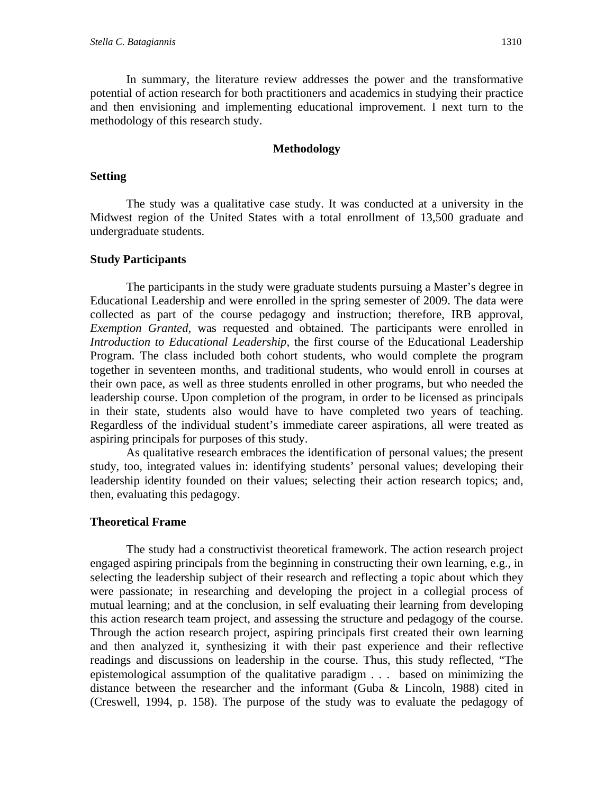In summary, the literature review addresses the power and the transformative potential of action research for both practitioners and academics in studying their practice and then envisioning and implementing educational improvement. I next turn to the methodology of this research study.

#### **Methodology**

#### **Setting**

The study was a qualitative case study. It was conducted at a university in the Midwest region of the United States with a total enrollment of 13,500 graduate and undergraduate students.

#### **Study Participants**

The participants in the study were graduate students pursuing a Master's degree in Educational Leadership and were enrolled in the spring semester of 2009. The data were collected as part of the course pedagogy and instruction; therefore, IRB approval, *Exemption Granted,* was requested and obtained. The participants were enrolled in *Introduction to Educational Leadership*, the first course of the Educational Leadership Program. The class included both cohort students, who would complete the program together in seventeen months, and traditional students, who would enroll in courses at their own pace, as well as three students enrolled in other programs, but who needed the leadership course. Upon completion of the program, in order to be licensed as principals in their state, students also would have to have completed two years of teaching. Regardless of the individual student's immediate career aspirations, all were treated as aspiring principals for purposes of this study.

As qualitative research embraces the identification of personal values; the present study, too, integrated values in: identifying students' personal values; developing their leadership identity founded on their values; selecting their action research topics; and, then, evaluating this pedagogy.

#### **Theoretical Frame**

The study had a constructivist theoretical framework. The action research project engaged aspiring principals from the beginning in constructing their own learning, e.g., in selecting the leadership subject of their research and reflecting a topic about which they were passionate; in researching and developing the project in a collegial process of mutual learning; and at the conclusion, in self evaluating their learning from developing this action research team project, and assessing the structure and pedagogy of the course. Through the action research project, aspiring principals first created their own learning and then analyzed it, synthesizing it with their past experience and their reflective readings and discussions on leadership in the course. Thus, this study reflected, "The epistemological assumption of the qualitative paradigm . . . based on minimizing the distance between the researcher and the informant (Guba & Lincoln, 1988) cited in (Creswell, 1994, p. 158). The purpose of the study was to evaluate the pedagogy of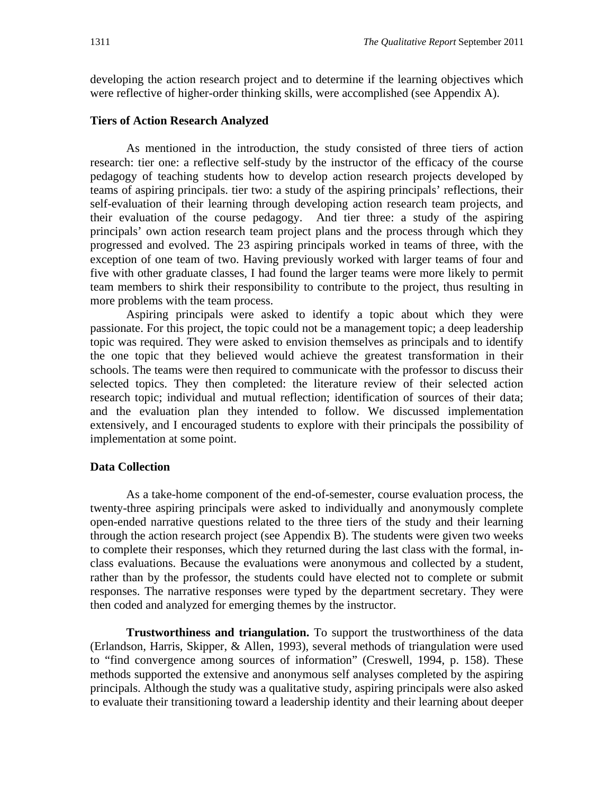developing the action research project and to determine if the learning objectives which were reflective of higher-order thinking skills, were accomplished (see Appendix A).

#### **Tiers of Action Research Analyzed**

As mentioned in the introduction, the study consisted of three tiers of action research: tier one: a reflective self-study by the instructor of the efficacy of the course pedagogy of teaching students how to develop action research projects developed by teams of aspiring principals. tier two: a study of the aspiring principals' reflections, their self-evaluation of their learning through developing action research team projects, and their evaluation of the course pedagogy. And tier three: a study of the aspiring principals' own action research team project plans and the process through which they progressed and evolved. The 23 aspiring principals worked in teams of three, with the exception of one team of two. Having previously worked with larger teams of four and five with other graduate classes, I had found the larger teams were more likely to permit team members to shirk their responsibility to contribute to the project, thus resulting in more problems with the team process.

Aspiring principals were asked to identify a topic about which they were passionate. For this project, the topic could not be a management topic; a deep leadership topic was required. They were asked to envision themselves as principals and to identify the one topic that they believed would achieve the greatest transformation in their schools. The teams were then required to communicate with the professor to discuss their selected topics. They then completed: the literature review of their selected action research topic; individual and mutual reflection; identification of sources of their data; and the evaluation plan they intended to follow. We discussed implementation extensively, and I encouraged students to explore with their principals the possibility of implementation at some point.

#### **Data Collection**

As a take-home component of the end-of-semester, course evaluation process, the twenty-three aspiring principals were asked to individually and anonymously complete open-ended narrative questions related to the three tiers of the study and their learning through the action research project (see Appendix B). The students were given two weeks to complete their responses, which they returned during the last class with the formal, inclass evaluations. Because the evaluations were anonymous and collected by a student, rather than by the professor, the students could have elected not to complete or submit responses. The narrative responses were typed by the department secretary. They were then coded and analyzed for emerging themes by the instructor.

**Trustworthiness and triangulation.** To support the trustworthiness of the data (Erlandson, Harris, Skipper, & Allen, 1993), several methods of triangulation were used to "find convergence among sources of information" (Creswell, 1994, p. 158). These methods supported the extensive and anonymous self analyses completed by the aspiring principals. Although the study was a qualitative study, aspiring principals were also asked to evaluate their transitioning toward a leadership identity and their learning about deeper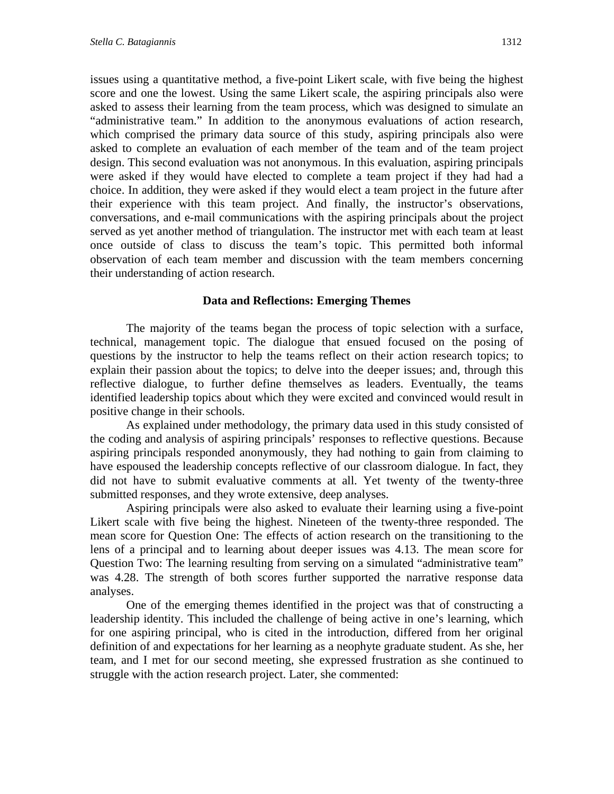issues using a quantitative method, a five-point Likert scale, with five being the highest score and one the lowest. Using the same Likert scale, the aspiring principals also were asked to assess their learning from the team process, which was designed to simulate an "administrative team." In addition to the anonymous evaluations of action research, which comprised the primary data source of this study, aspiring principals also were asked to complete an evaluation of each member of the team and of the team project design. This second evaluation was not anonymous. In this evaluation, aspiring principals were asked if they would have elected to complete a team project if they had had a choice. In addition, they were asked if they would elect a team project in the future after their experience with this team project. And finally, the instructor's observations, conversations, and e-mail communications with the aspiring principals about the project served as yet another method of triangulation. The instructor met with each team at least once outside of class to discuss the team's topic. This permitted both informal observation of each team member and discussion with the team members concerning their understanding of action research.

## **Data and Reflections: Emerging Themes**

The majority of the teams began the process of topic selection with a surface, technical, management topic. The dialogue that ensued focused on the posing of questions by the instructor to help the teams reflect on their action research topics; to explain their passion about the topics; to delve into the deeper issues; and, through this reflective dialogue, to further define themselves as leaders. Eventually, the teams identified leadership topics about which they were excited and convinced would result in positive change in their schools.

As explained under methodology, the primary data used in this study consisted of the coding and analysis of aspiring principals' responses to reflective questions. Because aspiring principals responded anonymously, they had nothing to gain from claiming to have espoused the leadership concepts reflective of our classroom dialogue. In fact, they did not have to submit evaluative comments at all. Yet twenty of the twenty-three submitted responses, and they wrote extensive, deep analyses.

Aspiring principals were also asked to evaluate their learning using a five-point Likert scale with five being the highest. Nineteen of the twenty-three responded. The mean score for Question One: The effects of action research on the transitioning to the lens of a principal and to learning about deeper issues was 4.13. The mean score for Question Two: The learning resulting from serving on a simulated "administrative team" was 4.28. The strength of both scores further supported the narrative response data analyses.

One of the emerging themes identified in the project was that of constructing a leadership identity. This included the challenge of being active in one's learning, which for one aspiring principal, who is cited in the introduction, differed from her original definition of and expectations for her learning as a neophyte graduate student. As she, her team, and I met for our second meeting, she expressed frustration as she continued to struggle with the action research project. Later, she commented: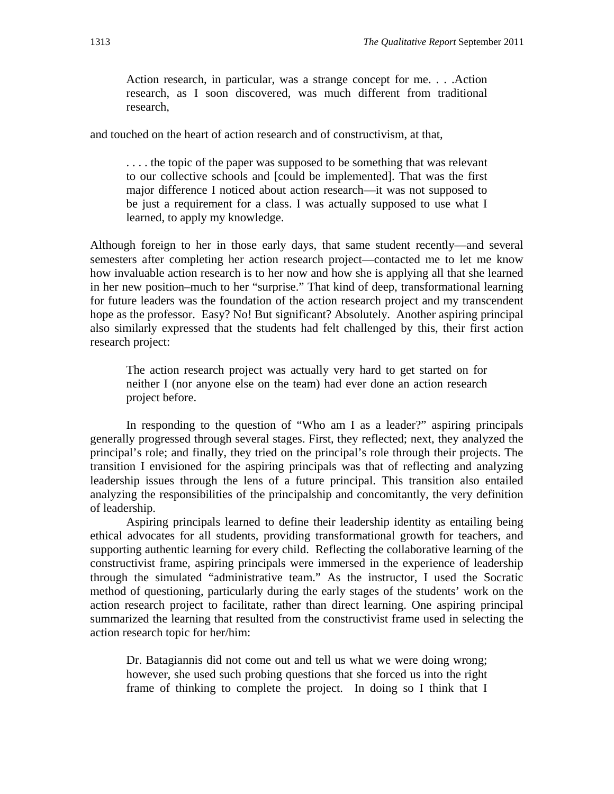Action research, in particular, was a strange concept for me. . . .Action research, as I soon discovered, was much different from traditional research,

and touched on the heart of action research and of constructivism, at that,

... the topic of the paper was supposed to be something that was relevant to our collective schools and [could be implemented]. That was the first major difference I noticed about action research—it was not supposed to be just a requirement for a class. I was actually supposed to use what I learned, to apply my knowledge.

Although foreign to her in those early days, that same student recently—and several semesters after completing her action research project—contacted me to let me know how invaluable action research is to her now and how she is applying all that she learned in her new position–much to her "surprise." That kind of deep, transformational learning for future leaders was the foundation of the action research project and my transcendent hope as the professor. Easy? No! But significant? Absolutely. Another aspiring principal also similarly expressed that the students had felt challenged by this, their first action research project:

The action research project was actually very hard to get started on for neither I (nor anyone else on the team) had ever done an action research project before.

In responding to the question of "Who am I as a leader?" aspiring principals generally progressed through several stages. First, they reflected; next, they analyzed the principal's role; and finally, they tried on the principal's role through their projects. The transition I envisioned for the aspiring principals was that of reflecting and analyzing leadership issues through the lens of a future principal. This transition also entailed analyzing the responsibilities of the principalship and concomitantly, the very definition of leadership.

Aspiring principals learned to define their leadership identity as entailing being ethical advocates for all students, providing transformational growth for teachers, and supporting authentic learning for every child. Reflecting the collaborative learning of the constructivist frame, aspiring principals were immersed in the experience of leadership through the simulated "administrative team." As the instructor, I used the Socratic method of questioning, particularly during the early stages of the students' work on the action research project to facilitate, rather than direct learning. One aspiring principal summarized the learning that resulted from the constructivist frame used in selecting the action research topic for her/him:

Dr. Batagiannis did not come out and tell us what we were doing wrong; however, she used such probing questions that she forced us into the right frame of thinking to complete the project. In doing so I think that I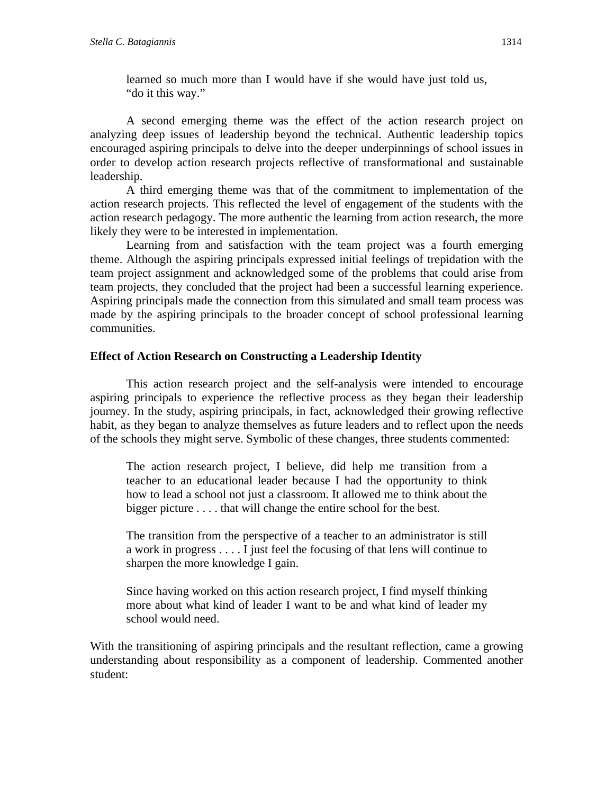learned so much more than I would have if she would have just told us, "do it this way."

A second emerging theme was the effect of the action research project on analyzing deep issues of leadership beyond the technical. Authentic leadership topics encouraged aspiring principals to delve into the deeper underpinnings of school issues in order to develop action research projects reflective of transformational and sustainable leadership.

A third emerging theme was that of the commitment to implementation of the action research projects. This reflected the level of engagement of the students with the action research pedagogy. The more authentic the learning from action research, the more likely they were to be interested in implementation.

Learning from and satisfaction with the team project was a fourth emerging theme. Although the aspiring principals expressed initial feelings of trepidation with the team project assignment and acknowledged some of the problems that could arise from team projects, they concluded that the project had been a successful learning experience. Aspiring principals made the connection from this simulated and small team process was made by the aspiring principals to the broader concept of school professional learning communities.

## **Effect of Action Research on Constructing a Leadership Identity**

This action research project and the self-analysis were intended to encourage aspiring principals to experience the reflective process as they began their leadership journey. In the study, aspiring principals, in fact, acknowledged their growing reflective habit, as they began to analyze themselves as future leaders and to reflect upon the needs of the schools they might serve. Symbolic of these changes, three students commented:

The action research project, I believe, did help me transition from a teacher to an educational leader because I had the opportunity to think how to lead a school not just a classroom. It allowed me to think about the bigger picture . . . . that will change the entire school for the best.

The transition from the perspective of a teacher to an administrator is still a work in progress . . . . I just feel the focusing of that lens will continue to sharpen the more knowledge I gain.

Since having worked on this action research project, I find myself thinking more about what kind of leader I want to be and what kind of leader my school would need.

With the transitioning of aspiring principals and the resultant reflection, came a growing understanding about responsibility as a component of leadership. Commented another student: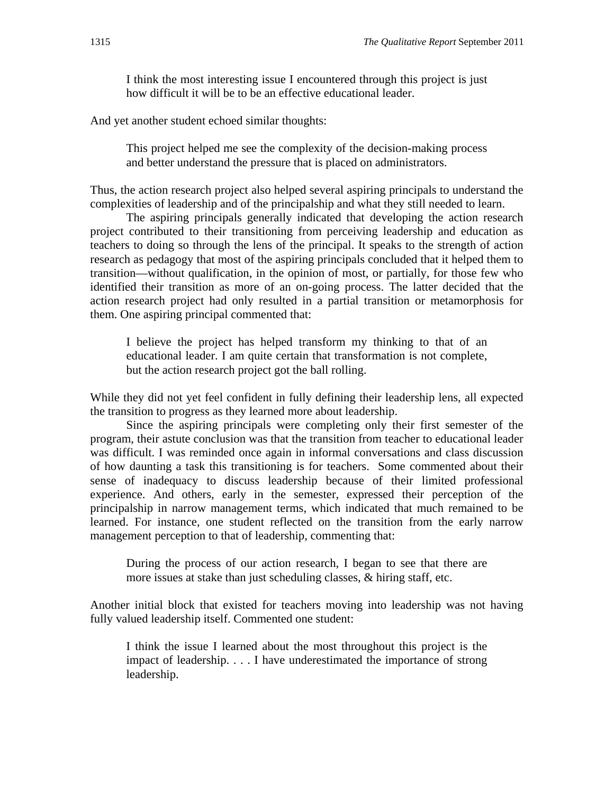I think the most interesting issue I encountered through this project is just how difficult it will be to be an effective educational leader.

And yet another student echoed similar thoughts:

This project helped me see the complexity of the decision-making process and better understand the pressure that is placed on administrators.

Thus, the action research project also helped several aspiring principals to understand the complexities of leadership and of the principalship and what they still needed to learn.

The aspiring principals generally indicated that developing the action research project contributed to their transitioning from perceiving leadership and education as teachers to doing so through the lens of the principal. It speaks to the strength of action research as pedagogy that most of the aspiring principals concluded that it helped them to transition—without qualification, in the opinion of most, or partially, for those few who identified their transition as more of an on-going process. The latter decided that the action research project had only resulted in a partial transition or metamorphosis for them. One aspiring principal commented that:

I believe the project has helped transform my thinking to that of an educational leader. I am quite certain that transformation is not complete, but the action research project got the ball rolling.

While they did not yet feel confident in fully defining their leadership lens, all expected the transition to progress as they learned more about leadership.

Since the aspiring principals were completing only their first semester of the program, their astute conclusion was that the transition from teacher to educational leader was difficult. I was reminded once again in informal conversations and class discussion of how daunting a task this transitioning is for teachers. Some commented about their sense of inadequacy to discuss leadership because of their limited professional experience. And others, early in the semester, expressed their perception of the principalship in narrow management terms, which indicated that much remained to be learned. For instance, one student reflected on the transition from the early narrow management perception to that of leadership, commenting that:

During the process of our action research, I began to see that there are more issues at stake than just scheduling classes, & hiring staff, etc.

Another initial block that existed for teachers moving into leadership was not having fully valued leadership itself. Commented one student:

I think the issue I learned about the most throughout this project is the impact of leadership. . . . I have underestimated the importance of strong leadership.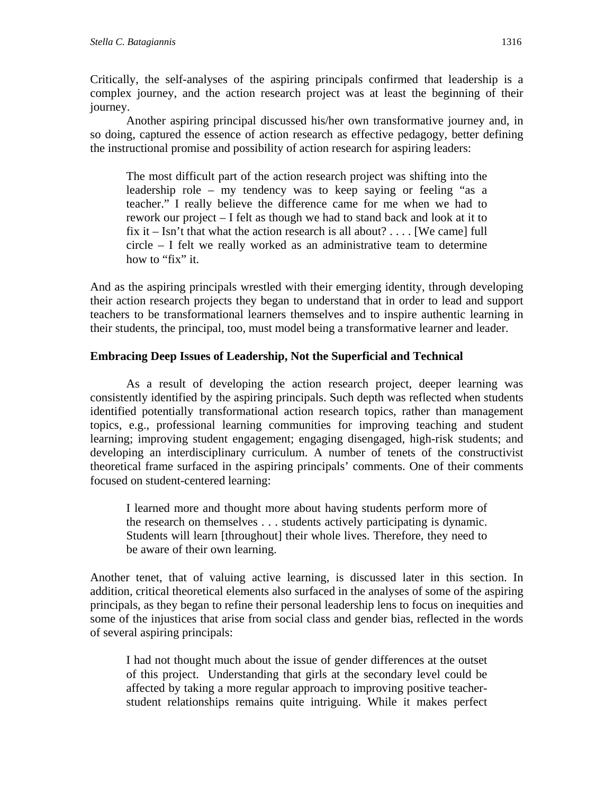Critically, the self-analyses of the aspiring principals confirmed that leadership is a complex journey, and the action research project was at least the beginning of their journey.

Another aspiring principal discussed his/her own transformative journey and, in so doing, captured the essence of action research as effective pedagogy, better defining the instructional promise and possibility of action research for aspiring leaders:

The most difficult part of the action research project was shifting into the leadership role – my tendency was to keep saying or feeling "as a teacher." I really believe the difference came for me when we had to rework our project – I felt as though we had to stand back and look at it to fix it – Isn't that what the action research is all about? ... . [We came] full circle – I felt we really worked as an administrative team to determine how to "fix" it.

And as the aspiring principals wrestled with their emerging identity, through developing their action research projects they began to understand that in order to lead and support teachers to be transformational learners themselves and to inspire authentic learning in their students, the principal, too, must model being a transformative learner and leader.

## **Embracing Deep Issues of Leadership, Not the Superficial and Technical**

As a result of developing the action research project, deeper learning was consistently identified by the aspiring principals. Such depth was reflected when students identified potentially transformational action research topics, rather than management topics, e.g., professional learning communities for improving teaching and student learning; improving student engagement; engaging disengaged, high-risk students; and developing an interdisciplinary curriculum. A number of tenets of the constructivist theoretical frame surfaced in the aspiring principals' comments. One of their comments focused on student-centered learning:

I learned more and thought more about having students perform more of the research on themselves . . . students actively participating is dynamic. Students will learn [throughout] their whole lives. Therefore, they need to be aware of their own learning.

Another tenet, that of valuing active learning, is discussed later in this section. In addition, critical theoretical elements also surfaced in the analyses of some of the aspiring principals, as they began to refine their personal leadership lens to focus on inequities and some of the injustices that arise from social class and gender bias, reflected in the words of several aspiring principals:

I had not thought much about the issue of gender differences at the outset of this project. Understanding that girls at the secondary level could be affected by taking a more regular approach to improving positive teacherstudent relationships remains quite intriguing. While it makes perfect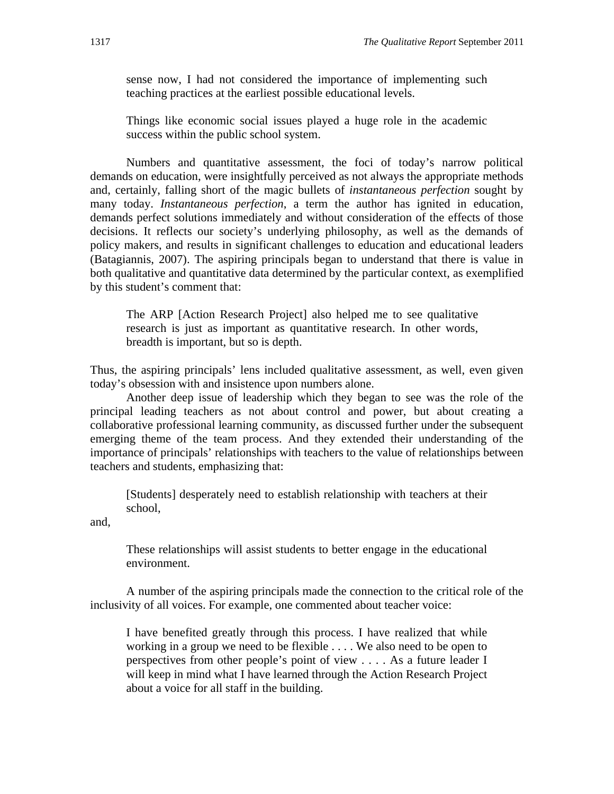sense now, I had not considered the importance of implementing such teaching practices at the earliest possible educational levels.

Things like economic social issues played a huge role in the academic success within the public school system.

Numbers and quantitative assessment, the foci of today's narrow political demands on education, were insightfully perceived as not always the appropriate methods and, certainly, falling short of the magic bullets of *instantaneous perfection* sought by many today. *Instantaneous perfection*, a term the author has ignited in education, demands perfect solutions immediately and without consideration of the effects of those decisions. It reflects our society's underlying philosophy, as well as the demands of policy makers, and results in significant challenges to education and educational leaders (Batagiannis, 2007). The aspiring principals began to understand that there is value in both qualitative and quantitative data determined by the particular context, as exemplified by this student's comment that:

The ARP [Action Research Project] also helped me to see qualitative research is just as important as quantitative research. In other words, breadth is important, but so is depth.

Thus, the aspiring principals' lens included qualitative assessment, as well, even given today's obsession with and insistence upon numbers alone.

Another deep issue of leadership which they began to see was the role of the principal leading teachers as not about control and power, but about creating a collaborative professional learning community, as discussed further under the subsequent emerging theme of the team process. And they extended their understanding of the importance of principals' relationships with teachers to the value of relationships between teachers and students, emphasizing that:

[Students] desperately need to establish relationship with teachers at their school,

and,

These relationships will assist students to better engage in the educational environment.

A number of the aspiring principals made the connection to the critical role of the inclusivity of all voices. For example, one commented about teacher voice:

I have benefited greatly through this process. I have realized that while working in a group we need to be flexible . . . . We also need to be open to perspectives from other people's point of view . . . . As a future leader I will keep in mind what I have learned through the Action Research Project about a voice for all staff in the building.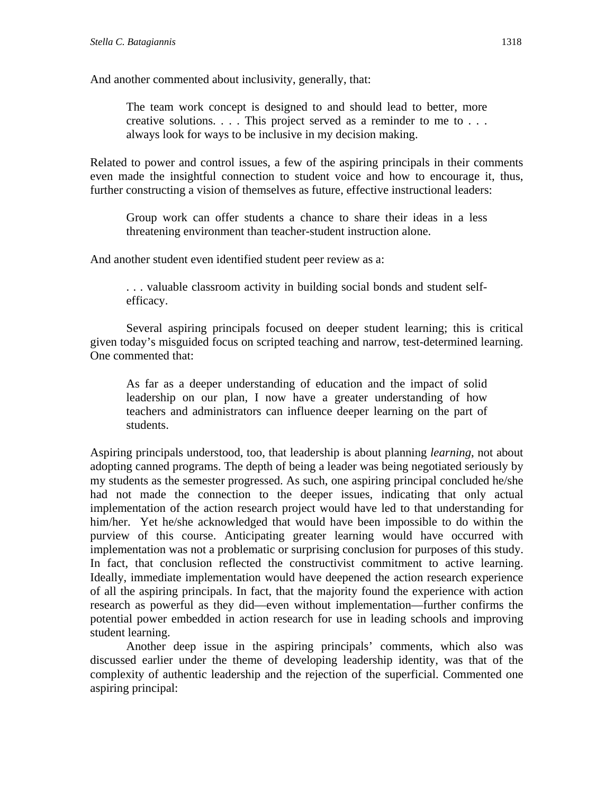And another commented about inclusivity, generally, that:

The team work concept is designed to and should lead to better, more creative solutions. . . . This project served as a reminder to me to . . . always look for ways to be inclusive in my decision making.

Related to power and control issues, a few of the aspiring principals in their comments even made the insightful connection to student voice and how to encourage it, thus, further constructing a vision of themselves as future, effective instructional leaders:

Group work can offer students a chance to share their ideas in a less threatening environment than teacher-student instruction alone.

And another student even identified student peer review as a:

. . . valuable classroom activity in building social bonds and student selfefficacy.

Several aspiring principals focused on deeper student learning; this is critical given today's misguided focus on scripted teaching and narrow, test-determined learning. One commented that:

As far as a deeper understanding of education and the impact of solid leadership on our plan, I now have a greater understanding of how teachers and administrators can influence deeper learning on the part of students.

Aspiring principals understood, too, that leadership is about planning *learning*, not about adopting canned programs. The depth of being a leader was being negotiated seriously by my students as the semester progressed. As such, one aspiring principal concluded he/she had not made the connection to the deeper issues, indicating that only actual implementation of the action research project would have led to that understanding for him/her. Yet he/she acknowledged that would have been impossible to do within the purview of this course. Anticipating greater learning would have occurred with implementation was not a problematic or surprising conclusion for purposes of this study. In fact, that conclusion reflected the constructivist commitment to active learning. Ideally, immediate implementation would have deepened the action research experience of all the aspiring principals. In fact, that the majority found the experience with action research as powerful as they did—even without implementation—further confirms the potential power embedded in action research for use in leading schools and improving student learning.

Another deep issue in the aspiring principals' comments, which also was discussed earlier under the theme of developing leadership identity, was that of the complexity of authentic leadership and the rejection of the superficial. Commented one aspiring principal: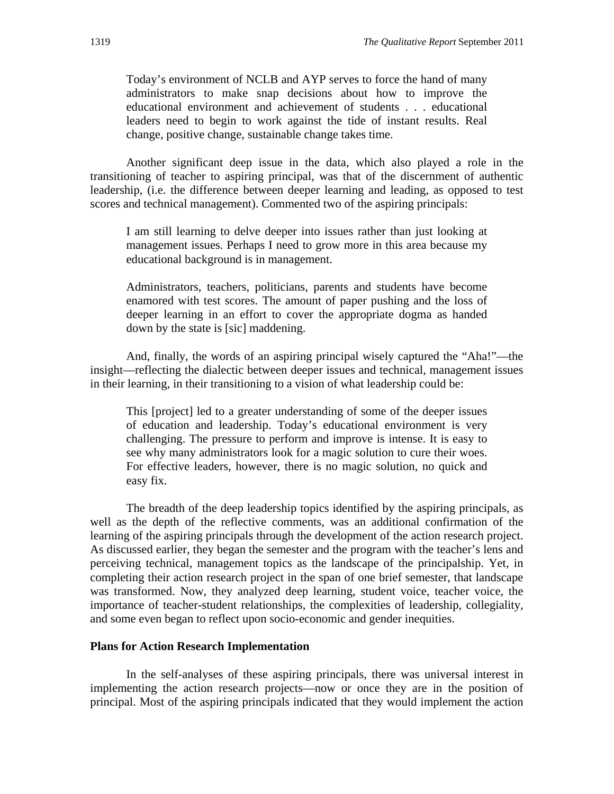Today's environment of NCLB and AYP serves to force the hand of many administrators to make snap decisions about how to improve the educational environment and achievement of students . . . educational leaders need to begin to work against the tide of instant results. Real change, positive change, sustainable change takes time.

Another significant deep issue in the data, which also played a role in the transitioning of teacher to aspiring principal, was that of the discernment of authentic leadership, (i.e. the difference between deeper learning and leading, as opposed to test scores and technical management). Commented two of the aspiring principals:

I am still learning to delve deeper into issues rather than just looking at management issues. Perhaps I need to grow more in this area because my educational background is in management.

Administrators, teachers, politicians, parents and students have become enamored with test scores. The amount of paper pushing and the loss of deeper learning in an effort to cover the appropriate dogma as handed down by the state is [sic] maddening.

And, finally, the words of an aspiring principal wisely captured the "Aha!"—the insight—reflecting the dialectic between deeper issues and technical, management issues in their learning, in their transitioning to a vision of what leadership could be:

This [project] led to a greater understanding of some of the deeper issues of education and leadership. Today's educational environment is very challenging. The pressure to perform and improve is intense. It is easy to see why many administrators look for a magic solution to cure their woes. For effective leaders, however, there is no magic solution, no quick and easy fix.

The breadth of the deep leadership topics identified by the aspiring principals, as well as the depth of the reflective comments, was an additional confirmation of the learning of the aspiring principals through the development of the action research project. As discussed earlier, they began the semester and the program with the teacher's lens and perceiving technical, management topics as the landscape of the principalship. Yet, in completing their action research project in the span of one brief semester, that landscape was transformed. Now, they analyzed deep learning, student voice, teacher voice, the importance of teacher-student relationships, the complexities of leadership, collegiality, and some even began to reflect upon socio-economic and gender inequities.

#### **Plans for Action Research Implementation**

In the self-analyses of these aspiring principals, there was universal interest in implementing the action research projects—now or once they are in the position of principal. Most of the aspiring principals indicated that they would implement the action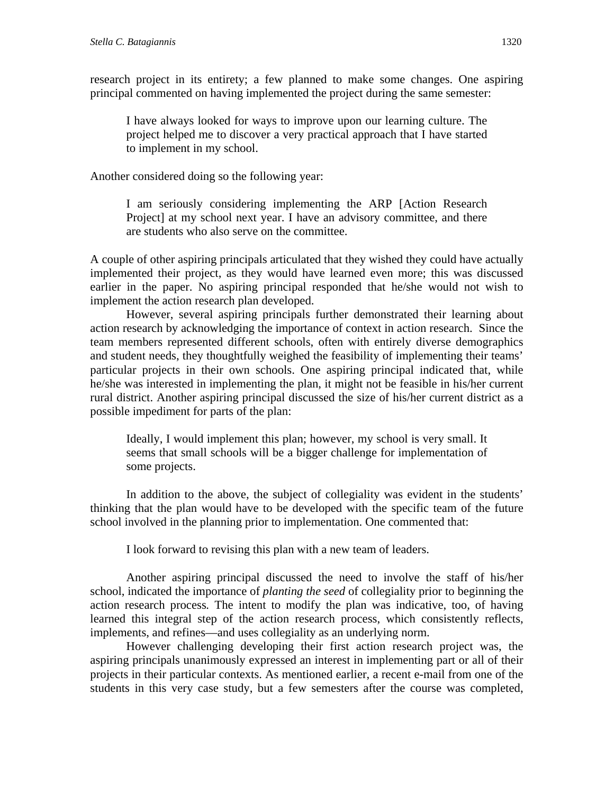research project in its entirety; a few planned to make some changes. One aspiring principal commented on having implemented the project during the same semester:

I have always looked for ways to improve upon our learning culture. The project helped me to discover a very practical approach that I have started to implement in my school.

Another considered doing so the following year:

I am seriously considering implementing the ARP [Action Research Project] at my school next year. I have an advisory committee, and there are students who also serve on the committee.

A couple of other aspiring principals articulated that they wished they could have actually implemented their project, as they would have learned even more; this was discussed earlier in the paper. No aspiring principal responded that he/she would not wish to implement the action research plan developed.

However, several aspiring principals further demonstrated their learning about action research by acknowledging the importance of context in action research. Since the team members represented different schools, often with entirely diverse demographics and student needs, they thoughtfully weighed the feasibility of implementing their teams' particular projects in their own schools. One aspiring principal indicated that, while he/she was interested in implementing the plan, it might not be feasible in his/her current rural district. Another aspiring principal discussed the size of his/her current district as a possible impediment for parts of the plan:

Ideally, I would implement this plan; however, my school is very small. It seems that small schools will be a bigger challenge for implementation of some projects.

In addition to the above, the subject of collegiality was evident in the students' thinking that the plan would have to be developed with the specific team of the future school involved in the planning prior to implementation. One commented that:

I look forward to revising this plan with a new team of leaders.

Another aspiring principal discussed the need to involve the staff of his/her school, indicated the importance of *planting the seed* of collegiality prior to beginning the action research process*.* The intent to modify the plan was indicative, too, of having learned this integral step of the action research process, which consistently reflects, implements, and refines—and uses collegiality as an underlying norm.

However challenging developing their first action research project was, the aspiring principals unanimously expressed an interest in implementing part or all of their projects in their particular contexts. As mentioned earlier, a recent e-mail from one of the students in this very case study, but a few semesters after the course was completed,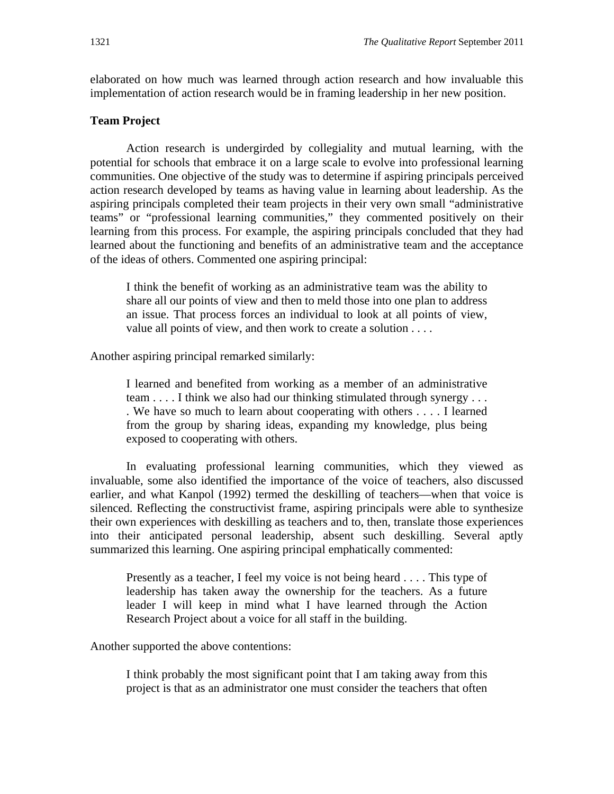elaborated on how much was learned through action research and how invaluable this implementation of action research would be in framing leadership in her new position.

#### **Team Project**

Action research is undergirded by collegiality and mutual learning, with the potential for schools that embrace it on a large scale to evolve into professional learning communities. One objective of the study was to determine if aspiring principals perceived action research developed by teams as having value in learning about leadership. As the aspiring principals completed their team projects in their very own small "administrative teams" or "professional learning communities," they commented positively on their learning from this process. For example, the aspiring principals concluded that they had learned about the functioning and benefits of an administrative team and the acceptance of the ideas of others. Commented one aspiring principal:

I think the benefit of working as an administrative team was the ability to share all our points of view and then to meld those into one plan to address an issue. That process forces an individual to look at all points of view, value all points of view, and then work to create a solution . . . .

Another aspiring principal remarked similarly:

I learned and benefited from working as a member of an administrative team . . . . I think we also had our thinking stimulated through synergy . . . . We have so much to learn about cooperating with others . . . . I learned from the group by sharing ideas, expanding my knowledge, plus being exposed to cooperating with others.

In evaluating professional learning communities, which they viewed as invaluable, some also identified the importance of the voice of teachers, also discussed earlier, and what Kanpol (1992) termed the deskilling of teachers—when that voice is silenced. Reflecting the constructivist frame, aspiring principals were able to synthesize their own experiences with deskilling as teachers and to, then, translate those experiences into their anticipated personal leadership, absent such deskilling. Several aptly summarized this learning. One aspiring principal emphatically commented:

Presently as a teacher, I feel my voice is not being heard . . . . This type of leadership has taken away the ownership for the teachers. As a future leader I will keep in mind what I have learned through the Action Research Project about a voice for all staff in the building.

Another supported the above contentions:

I think probably the most significant point that I am taking away from this project is that as an administrator one must consider the teachers that often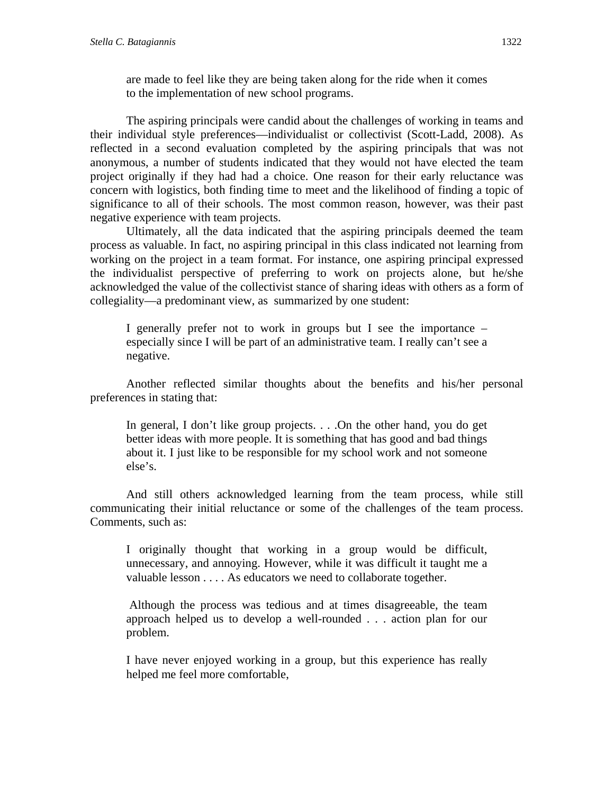are made to feel like they are being taken along for the ride when it comes to the implementation of new school programs.

The aspiring principals were candid about the challenges of working in teams and their individual style preferences—individualist or collectivist (Scott-Ladd, 2008). As reflected in a second evaluation completed by the aspiring principals that was not anonymous, a number of students indicated that they would not have elected the team project originally if they had had a choice. One reason for their early reluctance was concern with logistics, both finding time to meet and the likelihood of finding a topic of significance to all of their schools. The most common reason, however, was their past negative experience with team projects.

Ultimately, all the data indicated that the aspiring principals deemed the team process as valuable. In fact, no aspiring principal in this class indicated not learning from working on the project in a team format. For instance, one aspiring principal expressed the individualist perspective of preferring to work on projects alone, but he/she acknowledged the value of the collectivist stance of sharing ideas with others as a form of collegiality—a predominant view, as summarized by one student:

I generally prefer not to work in groups but I see the importance – especially since I will be part of an administrative team. I really can't see a negative.

Another reflected similar thoughts about the benefits and his/her personal preferences in stating that:

In general, I don't like group projects. . . .On the other hand, you do get better ideas with more people. It is something that has good and bad things about it. I just like to be responsible for my school work and not someone else's.

And still others acknowledged learning from the team process, while still communicating their initial reluctance or some of the challenges of the team process. Comments, such as:

I originally thought that working in a group would be difficult, unnecessary, and annoying. However, while it was difficult it taught me a valuable lesson . . . . As educators we need to collaborate together.

 Although the process was tedious and at times disagreeable, the team approach helped us to develop a well-rounded . . . action plan for our problem.

 I have never enjoyed working in a group, but this experience has really helped me feel more comfortable,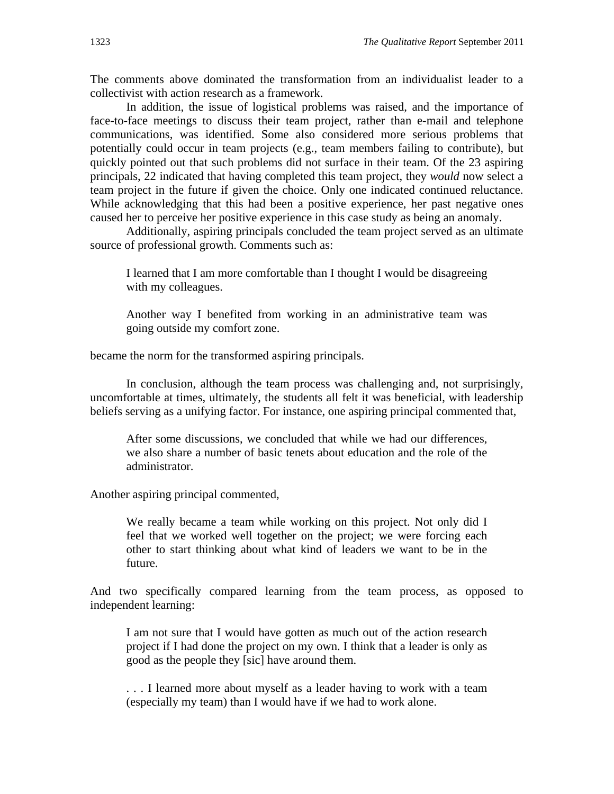The comments above dominated the transformation from an individualist leader to a collectivist with action research as a framework.

In addition, the issue of logistical problems was raised, and the importance of face-to-face meetings to discuss their team project, rather than e-mail and telephone communications, was identified. Some also considered more serious problems that potentially could occur in team projects (e.g., team members failing to contribute), but quickly pointed out that such problems did not surface in their team. Of the 23 aspiring principals, 22 indicated that having completed this team project, they *would* now select a team project in the future if given the choice. Only one indicated continued reluctance. While acknowledging that this had been a positive experience, her past negative ones caused her to perceive her positive experience in this case study as being an anomaly.

Additionally, aspiring principals concluded the team project served as an ultimate source of professional growth. Comments such as:

I learned that I am more comfortable than I thought I would be disagreeing with my colleagues.

Another way I benefited from working in an administrative team was going outside my comfort zone.

became the norm for the transformed aspiring principals.

In conclusion, although the team process was challenging and, not surprisingly, uncomfortable at times, ultimately, the students all felt it was beneficial, with leadership beliefs serving as a unifying factor. For instance, one aspiring principal commented that,

After some discussions, we concluded that while we had our differences, we also share a number of basic tenets about education and the role of the administrator.

Another aspiring principal commented,

We really became a team while working on this project. Not only did I feel that we worked well together on the project; we were forcing each other to start thinking about what kind of leaders we want to be in the future.

And two specifically compared learning from the team process, as opposed to independent learning:

I am not sure that I would have gotten as much out of the action research project if I had done the project on my own. I think that a leader is only as good as the people they [sic] have around them.

. . . I learned more about myself as a leader having to work with a team (especially my team) than I would have if we had to work alone.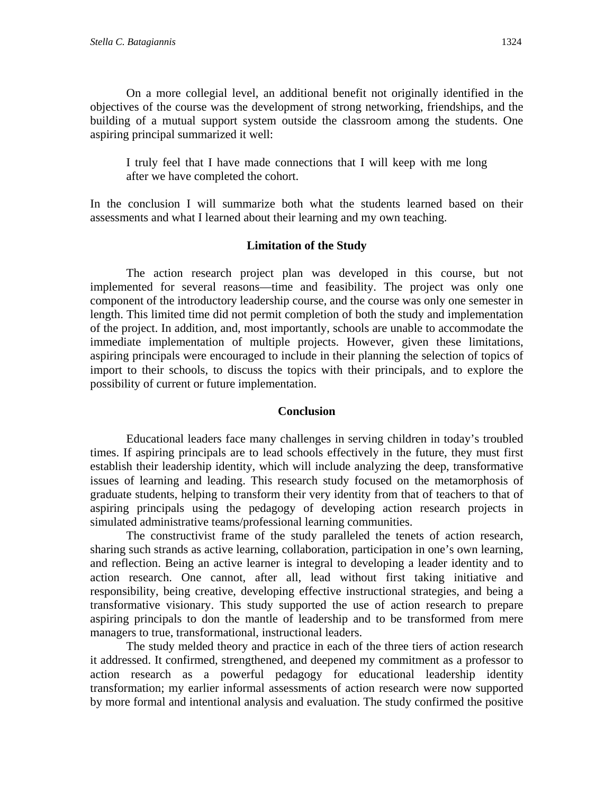On a more collegial level, an additional benefit not originally identified in the objectives of the course was the development of strong networking, friendships, and the building of a mutual support system outside the classroom among the students. One aspiring principal summarized it well:

I truly feel that I have made connections that I will keep with me long after we have completed the cohort.

In the conclusion I will summarize both what the students learned based on their assessments and what I learned about their learning and my own teaching.

## **Limitation of the Study**

The action research project plan was developed in this course, but not implemented for several reasons—time and feasibility. The project was only one component of the introductory leadership course, and the course was only one semester in length. This limited time did not permit completion of both the study and implementation of the project. In addition, and, most importantly, schools are unable to accommodate the immediate implementation of multiple projects. However, given these limitations, aspiring principals were encouraged to include in their planning the selection of topics of import to their schools, to discuss the topics with their principals, and to explore the possibility of current or future implementation.

### **Conclusion**

Educational leaders face many challenges in serving children in today's troubled times. If aspiring principals are to lead schools effectively in the future, they must first establish their leadership identity, which will include analyzing the deep, transformative issues of learning and leading. This research study focused on the metamorphosis of graduate students, helping to transform their very identity from that of teachers to that of aspiring principals using the pedagogy of developing action research projects in simulated administrative teams/professional learning communities.

The constructivist frame of the study paralleled the tenets of action research, sharing such strands as active learning, collaboration, participation in one's own learning, and reflection. Being an active learner is integral to developing a leader identity and to action research. One cannot, after all, lead without first taking initiative and responsibility, being creative, developing effective instructional strategies, and being a transformative visionary. This study supported the use of action research to prepare aspiring principals to don the mantle of leadership and to be transformed from mere managers to true, transformational, instructional leaders.

The study melded theory and practice in each of the three tiers of action research it addressed. It confirmed, strengthened, and deepened my commitment as a professor to action research as a powerful pedagogy for educational leadership identity transformation; my earlier informal assessments of action research were now supported by more formal and intentional analysis and evaluation. The study confirmed the positive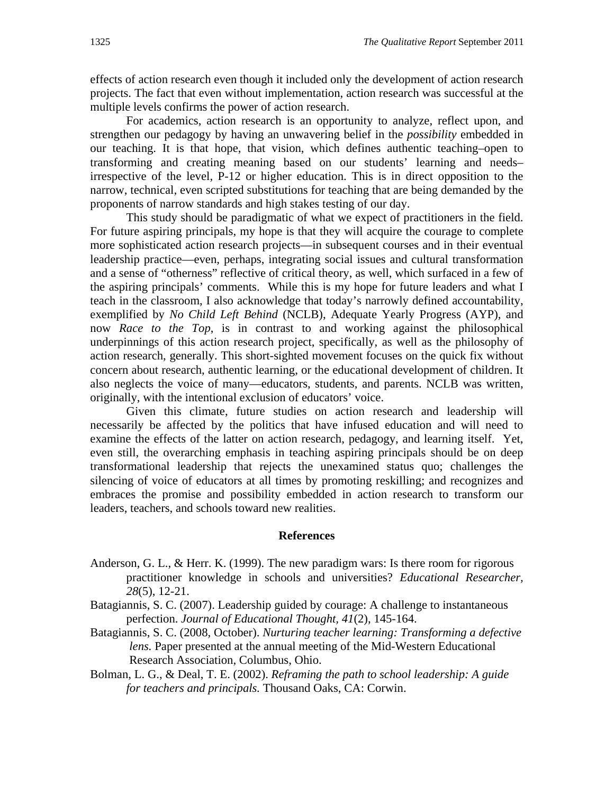effects of action research even though it included only the development of action research projects. The fact that even without implementation, action research was successful at the multiple levels confirms the power of action research.

For academics, action research is an opportunity to analyze, reflect upon, and strengthen our pedagogy by having an unwavering belief in the *possibility* embedded in our teaching. It is that hope, that vision, which defines authentic teaching–open to transforming and creating meaning based on our students' learning and needs– irrespective of the level, P-12 or higher education. This is in direct opposition to the narrow, technical, even scripted substitutions for teaching that are being demanded by the proponents of narrow standards and high stakes testing of our day.

This study should be paradigmatic of what we expect of practitioners in the field. For future aspiring principals, my hope is that they will acquire the courage to complete more sophisticated action research projects—in subsequent courses and in their eventual leadership practice—even, perhaps, integrating social issues and cultural transformation and a sense of "otherness" reflective of critical theory, as well, which surfaced in a few of the aspiring principals' comments. While this is my hope for future leaders and what I teach in the classroom, I also acknowledge that today's narrowly defined accountability, exemplified by *No Child Left Behind* (NCLB), Adequate Yearly Progress (AYP), and now *Race to the Top*, is in contrast to and working against the philosophical underpinnings of this action research project, specifically, as well as the philosophy of action research, generally. This short-sighted movement focuses on the quick fix without concern about research, authentic learning, or the educational development of children. It also neglects the voice of many—educators, students, and parents. NCLB was written, originally, with the intentional exclusion of educators' voice.

Given this climate, future studies on action research and leadership will necessarily be affected by the politics that have infused education and will need to examine the effects of the latter on action research, pedagogy, and learning itself. Yet, even still, the overarching emphasis in teaching aspiring principals should be on deep transformational leadership that rejects the unexamined status quo; challenges the silencing of voice of educators at all times by promoting reskilling; and recognizes and embraces the promise and possibility embedded in action research to transform our leaders, teachers, and schools toward new realities.

#### **References**

- Anderson, G. L., & Herr. K. (1999). The new paradigm wars: Is there room for rigorous practitioner knowledge in schools and universities? *Educational Researcher, 28*(5), 12-21.
- Batagiannis, S. C. (2007). Leadership guided by courage: A challenge to instantaneous perfection. *Journal of Educational Thought, 41*(2), 145-164.
- Batagiannis, S. C. (2008, October). *Nurturing teacher learning: Transforming a defective lens.* Paper presented at the annual meeting of the Mid-Western Educational Research Association, Columbus, Ohio.
- Bolman, L. G., & Deal, T. E. (2002). *Reframing the path to school leadership: A guide for teachers and principals.* Thousand Oaks, CA: Corwin.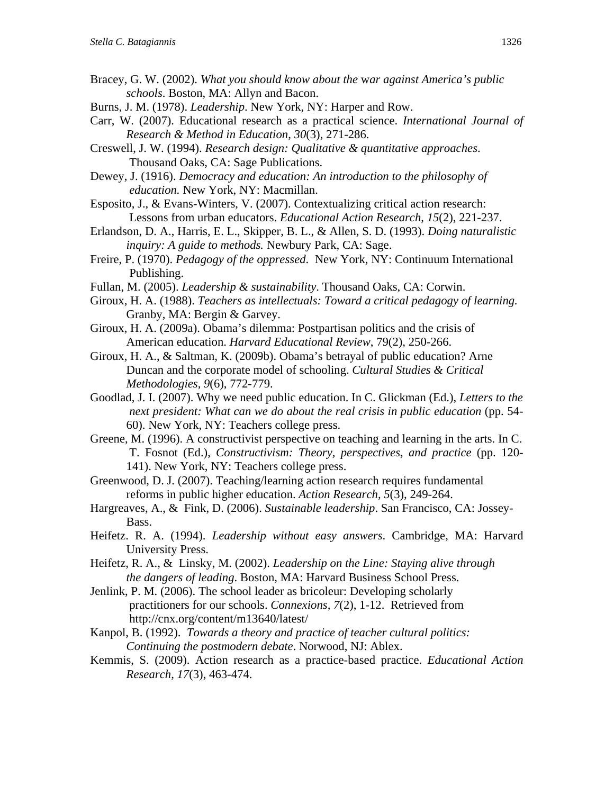- Bracey, G. W. (2002). *What you should know about the* w*ar against America's public schools*. Boston, MA: Allyn and Bacon.
- Burns, J. M. (1978). *Leadership*. New York, NY: Harper and Row.
- Carr, W. (2007). Educational research as a practical science. *International Journal of Research & Method in Education*, *30*(3), 271-286.
- Creswell, J. W. (1994). *Research design: Qualitative & quantitative approaches*. Thousand Oaks, CA: Sage Publications.
- Dewey, J. (1916). *Democracy and education: An introduction to the philosophy of education.* New York, NY: Macmillan.
- Esposito, J., & Evans-Winters, V. (2007). Contextualizing critical action research: Lessons from urban educators. *Educational Action Research, 15*(2), 221-237.
- Erlandson, D. A., Harris, E. L., Skipper, B. L., & Allen, S. D. (1993). *Doing naturalistic inquiry: A guide to methods.* Newbury Park, CA: Sage.
- Freire, P. (1970). *Pedagogy of the oppressed*. New York, NY: Continuum International Publishing.
- Fullan, M. (2005). *Leadership & sustainability*. Thousand Oaks, CA: Corwin.
- Giroux, H. A. (1988). *Teachers as intellectuals: Toward a critical pedagogy of learning.* Granby, MA: Bergin & Garvey.
- Giroux, H. A. (2009a). Obama's dilemma: Postpartisan politics and the crisis of American education. *Harvard Educational Review*, 79(2), 250-266.
- Giroux, H. A., & Saltman, K. (2009b). Obama's betrayal of public education? Arne Duncan and the corporate model of schooling. *Cultural Studies & Critical Methodologies, 9*(6), 772-779.
- Goodlad, J. I. (2007). Why we need public education. In C. Glickman (Ed.), *Letters to the next president: What can we do about the real crisis in public education* (pp. 54-60). New York, NY: Teachers college press.
- Greene, M. (1996). A constructivist perspective on teaching and learning in the arts. In C. T. Fosnot (Ed.), *Constructivism: Theory, perspectives, and practice* (pp. 120- 141). New York, NY: Teachers college press.
- Greenwood, D. J. (2007). Teaching/learning action research requires fundamental reforms in public higher education. *Action Research, 5*(3), 249-264.
- Hargreaves, A., & Fink, D. (2006). *Sustainable leadership*. San Francisco, CA: Jossey- Bass.
- Heifetz. R. A. (1994). *Leadership without easy answers*. Cambridge, MA: Harvard University Press.
- Heifetz, R. A., & Linsky, M. (2002). *Leadership on the Line: Staying alive through the dangers of leading*. Boston, MA: Harvard Business School Press.
- Jenlink, P. M. (2006). The school leader as bricoleur: Developing scholarly practitioners for our schools. *Connexions, 7*(2), 1-12.Retrieved from http://cnx.org/content/m13640/latest/
- Kanpol, B. (1992). *Towards a theory and practice of teacher cultural politics: Continuing the postmodern debate*. Norwood, NJ: Ablex.
- Kemmis, S. (2009). Action research as a practice-based practice. *Educational Action Research, 17*(3), 463-474.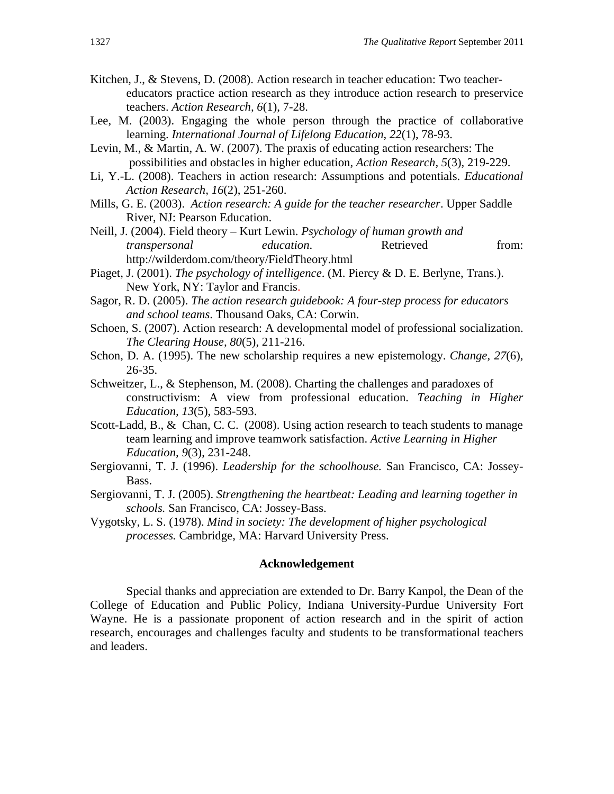- Kitchen, J., & Stevens, D. (2008). Action research in teacher education: Two teacher educators practice action research as they introduce action research to preservice teachers. *Action Research, 6*(1), 7-28.
- Lee, M. (2003). Engaging the whole person through the practice of collaborative learning. *International Journal of Lifelong Education*, *22*(1), 78-93.
- Levin, M., & Martin, A. W. (2007). The praxis of educating action researchers: The possibilities and obstacles in higher education, *Action Research, 5*(3), 219-229.
- Li, Y.-L. (2008). Teachers in action research: Assumptions and potentials. *Educational Action Research, 16*(2), 251-260.
- Mills, G. E. (2003). *Action research: A guide for the teacher researcher*. Upper Saddle River, NJ: Pearson Education.
- Neill, J. (2004). Field theory Kurt Lewin. *Psychology of human growth and transpersonal education*. Retrieved from: http://wilderdom.com/theory/FieldTheory.html
- Piaget, J. (2001). *The psychology of intelligence*. (M. Piercy & D. E. Berlyne, Trans.). New York, NY: Taylor and Francis.
- Sagor, R. D. (2005). *The action research guidebook: A four-step process for educators and school teams*. Thousand Oaks, CA: Corwin.
- Schoen, S. (2007). Action research: A developmental model of professional socialization. *The Clearing House, 80*(5), 211-216.
- Schon, D. A. (1995). The new scholarship requires a new epistemology. *Change, 27*(6), 26-35.
- Schweitzer, L., & Stephenson, M. (2008). Charting the challenges and paradoxes of constructivism: A view from professional education. *Teaching in Higher Education, 13*(5), 583-593.
- Scott-Ladd, B., & Chan, C. C. (2008). Using action research to teach students to manage team learning and improve teamwork satisfaction. *Active Learning in Higher Education, 9*(3), 231-248.
- Sergiovanni, T. J. (1996). *Leadership for the schoolhouse.* San Francisco, CA: Jossey- Bass.
- Sergiovanni, T. J. (2005). *Strengthening the heartbeat: Leading and learning together in schools.* San Francisco, CA: Jossey-Bass.
- Vygotsky, L. S. (1978). *Mind in society: The development of higher psychological processes.* Cambridge, MA: Harvard University Press.

#### **Acknowledgement**

Special thanks and appreciation are extended to Dr. Barry Kanpol, the Dean of the College of Education and Public Policy, Indiana University-Purdue University Fort Wayne. He is a passionate proponent of action research and in the spirit of action research, encourages and challenges faculty and students to be transformational teachers and leaders.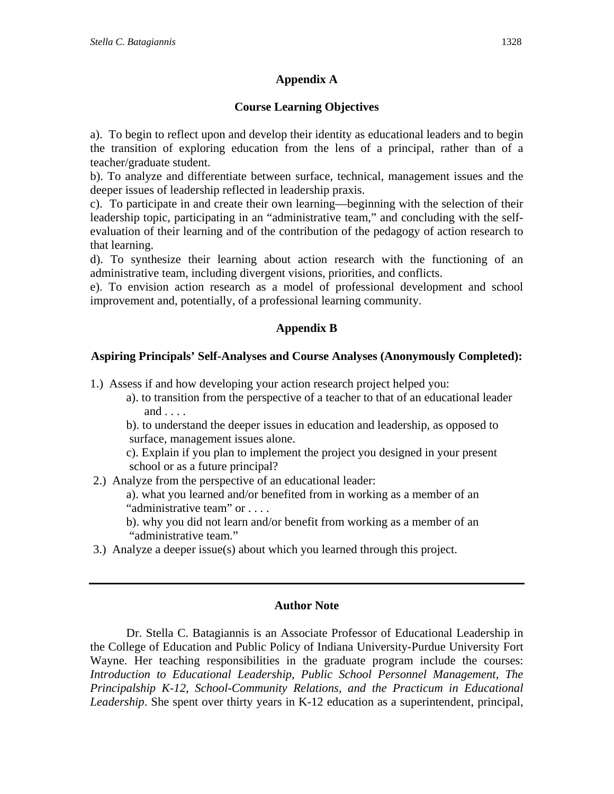## **Appendix A**

## **Course Learning Objectives**

a). To begin to reflect upon and develop their identity as educational leaders and to begin the transition of exploring education from the lens of a principal, rather than of a teacher/graduate student.

b). To analyze and differentiate between surface, technical, management issues and the deeper issues of leadership reflected in leadership praxis.

c). To participate in and create their own learning—beginning with the selection of their leadership topic, participating in an "administrative team," and concluding with the selfevaluation of their learning and of the contribution of the pedagogy of action research to that learning.

d). To synthesize their learning about action research with the functioning of an administrative team, including divergent visions, priorities, and conflicts.

e). To envision action research as a model of professional development and school improvement and, potentially, of a professional learning community.

## **Appendix B**

## **Aspiring Principals' Self-Analyses and Course Analyses (Anonymously Completed):**

1.) Assess if and how developing your action research project helped you:

a). to transition from the perspective of a teacher to that of an educational leader and . . . .

b). to understand the deeper issues in education and leadership, as opposed to surface, management issues alone.

c). Explain if you plan to implement the project you designed in your present school or as a future principal?

2.) Analyze from the perspective of an educational leader:

a). what you learned and/or benefited from in working as a member of an "administrative team" or . . . .

- b). why you did not learn and/or benefit from working as a member of an "administrative team."
- 3.) Analyze a deeper issue(s) about which you learned through this project.

## **Author Note**

Dr. Stella C. Batagiannis is an Associate Professor of Educational Leadership in the College of Education and Public Policy of Indiana University-Purdue University Fort Wayne. Her teaching responsibilities in the graduate program include the courses: *Introduction to Educational Leadership, Public School Personnel Management, The Principalship K-12, School-Community Relations, and the Practicum in Educational Leadership*. She spent over thirty years in K-12 education as a superintendent, principal,